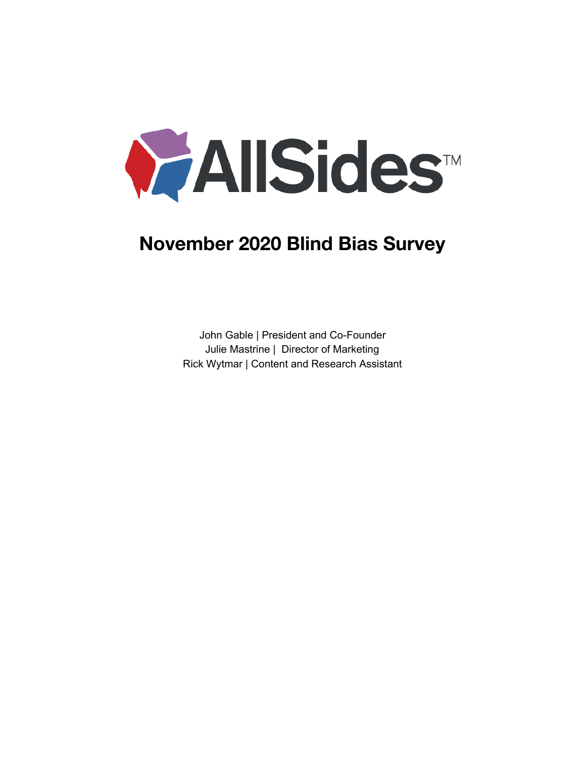

# **November 2020 Blind Bias Survey**

John Gable | President and Co-Founder Julie Mastrine | Director of Marketing Rick Wytmar | Content and Research Assistant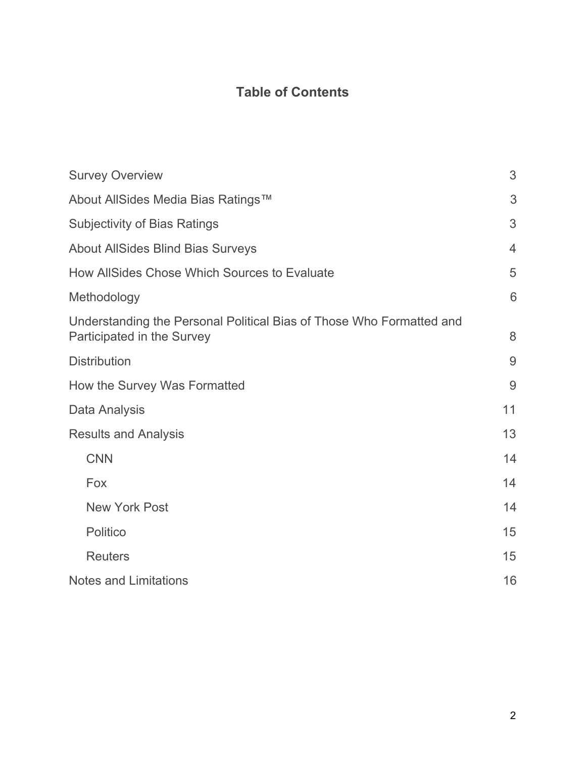# **Table of Contents**

| <b>Survey Overview</b>                                                                             | 3              |
|----------------------------------------------------------------------------------------------------|----------------|
| About AllSides Media Bias Ratings™                                                                 | 3              |
| <b>Subjectivity of Bias Ratings</b>                                                                | 3              |
| <b>About AllSides Blind Bias Surveys</b>                                                           | $\overline{4}$ |
| How AllSides Chose Which Sources to Evaluate                                                       | 5              |
| Methodology                                                                                        | 6              |
| Understanding the Personal Political Bias of Those Who Formatted and<br>Participated in the Survey | 8              |
| <b>Distribution</b>                                                                                | 9              |
| How the Survey Was Formatted                                                                       | 9              |
| Data Analysis                                                                                      | 11             |
| <b>Results and Analysis</b>                                                                        | 13             |
| <b>CNN</b>                                                                                         | 14             |
| Fox                                                                                                | 14             |
| <b>New York Post</b>                                                                               | 14             |
| Politico                                                                                           | 15             |
| <b>Reuters</b>                                                                                     | 15             |
| <b>Notes and Limitations</b>                                                                       | 16             |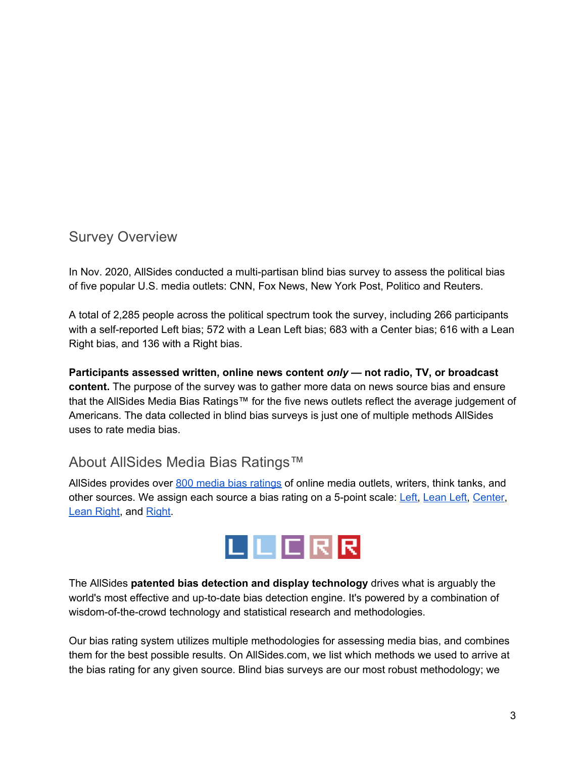### <span id="page-2-0"></span>Survey Overview

In Nov. 2020, AllSides conducted a multi-partisan blind bias survey to assess the political bias of five popular U.S. media outlets: CNN, Fox News, New York Post, Politico and Reuters.

A total of 2,285 people across the political spectrum took the survey, including 266 participants with a self-reported Left bias; 572 with a Lean Left bias; 683 with a Center bias; 616 with a Lean Right bias, and 136 with a Right bias.

**Participants assessed written, online news content** *only* **— not radio, TV, or broadcast content.** The purpose of the survey was to gather more data on news source bias and ensure that the AllSides Media Bias Ratings™ for the five news outlets reflect the average judgement of Americans. The data collected in blind bias surveys is just one of multiple methods AllSides uses to rate media bias.

# <span id="page-2-1"></span>About AllSides Media Bias Ratings™

AllSides provides over 800 media bias [ratings](https://www.allsides.com/media-bias/media-bias-ratings) of online media outlets, writers, think tanks, and other sources. We assign each source a bias rating on a 5-point scale: [Left](https://www.allsides.com/media-bias/left), [Lean](https://www.allsides.com/media-bias/left-center) Left, [Center](https://www.allsides.com/media-bias/center), Lean [Right](https://www.allsides.com/media-bias/right-center), and [Right](https://www.allsides.com/media-bias/right).



The AllSides **patented bias detection and display technology** drives what is arguably the world's most effective and up-to-date bias detection engine. It's powered by a combination of wisdom-of-the-crowd technology and statistical research and methodologies.

Our bias rating system utilizes multiple methodologies for assessing media bias, and combines them for the best possible results. On AllSides.com, we list which methods we used to arrive at the bias rating for any given source. Blind bias surveys are our most robust methodology; we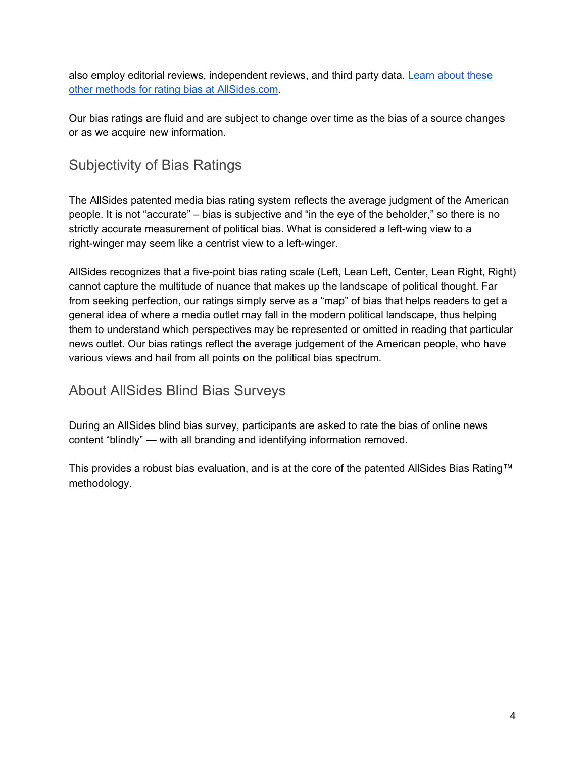also employ editorial reviews, independent reviews, and third party data. [Learn](https://www.allsides.com/media-bias/media-bias-rating-methods) about these other methods for rating bias at [AllSides.com.](https://www.allsides.com/media-bias/media-bias-rating-methods)

Our bias ratings are fluid and are subject to change over time as the bias of a source changes or as we acquire new information.

# Subjectivity of Bias Ratings

The AllSides patented media bias rating system reflects the average judgment of the American people. It is not "accurate" – bias is subjective and "in the eye of the beholder," so there is no strictly accurate measurement of political bias. What is considered a left-wing view to a right-winger may seem like a centrist view to a left-winger.

AllSides recognizes that a five-point bias rating scale (Left, Lean Left, Center, Lean Right, Right) cannot capture the multitude of nuance that makes up the landscape of political thought. Far from seeking perfection, our ratings simply serve as a "map" of bias that helps readers to get a general idea of where a media outlet may fall in the modern political landscape, thus helping them to understand which perspectives may be represented or omitted in reading that particular news outlet. Our bias ratings reflect the average judgement of the American people, who have various views and hail from all points on the political bias spectrum.

# <span id="page-3-0"></span>About AllSides Blind Bias Surveys

During an AllSides blind bias survey, participants are asked to rate the bias of online news content "blindly" — with all branding and identifying information removed.

This provides a robust bias evaluation, and is at the core of the patented AllSides Bias Rating™ methodology.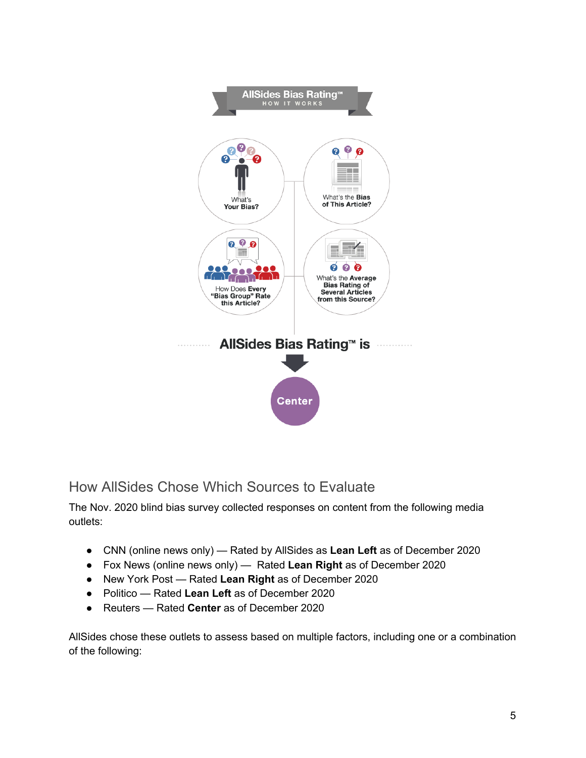

<span id="page-4-0"></span>How AllSides Chose Which Sources to Evaluate

The Nov. 2020 blind bias survey collected responses on content from the following media outlets:

- CNN (online news only) Rated by AllSides as **Lean Left** as of December 2020
- Fox News (online news only) Rated **Lean Right** as of December 2020
- New York Post Rated **Lean Right** as of December 2020
- Politico Rated **Lean Left** as of December 2020
- Reuters Rated **Center** as of December 2020

AllSides chose these outlets to assess based on multiple factors, including one or a combination of the following: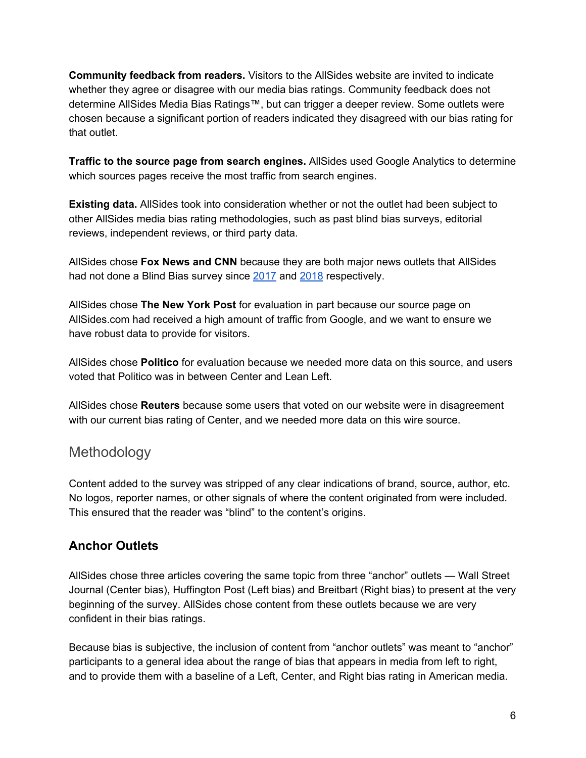**Community feedback from readers.** Visitors to the AllSides website are invited to indicate whether they agree or disagree with our media bias ratings. Community feedback does not determine AllSides Media Bias Ratings™, but can trigger a deeper review. Some outlets were chosen because a significant portion of readers indicated they disagreed with our bias rating for that outlet.

**Traffic to the source page from search engines.** AllSides used Google Analytics to determine which sources pages receive the most traffic from search engines.

**Existing data.** AllSides took into consideration whether or not the outlet had been subject to other AllSides media bias rating methodologies, such as past blind bias surveys, editorial reviews, independent reviews, or third party data.

AllSides chose **Fox News and CNN** because they are both major news outlets that AllSides had not done a Blind Bias survey since [2017](https://www.allsides.com/news-source/fox-news-media-bias#2017Rating) and [2018](https://www.allsides.com/news-source/cnn-media-bias#March2018) respectively.

AllSides chose **The New York Post** for evaluation in part because our source page on AllSides.com had received a high amount of traffic from Google, and we want to ensure we have robust data to provide for visitors.

AllSides chose **Politico** for evaluation because we needed more data on this source, and users voted that Politico was in between Center and Lean Left.

AllSides chose **Reuters** because some users that voted on our website were in disagreement with our current bias rating of Center, and we needed more data on this wire source.

### <span id="page-5-0"></span>Methodology

Content added to the survey was stripped of any clear indications of brand, source, author, etc. No logos, reporter names, or other signals of where the content originated from were included. This ensured that the reader was "blind" to the content's origins.

#### **Anchor Outlets**

AllSides chose three articles covering the same topic from three "anchor" outlets — Wall Street Journal (Center bias), Huffington Post (Left bias) and Breitbart (Right bias) to present at the very beginning of the survey. AllSides chose content from these outlets because we are very confident in their bias ratings.

Because bias is subjective, the inclusion of content from "anchor outlets" was meant to "anchor" participants to a general idea about the range of bias that appears in media from left to right, and to provide them with a baseline of a Left, Center, and Right bias rating in American media.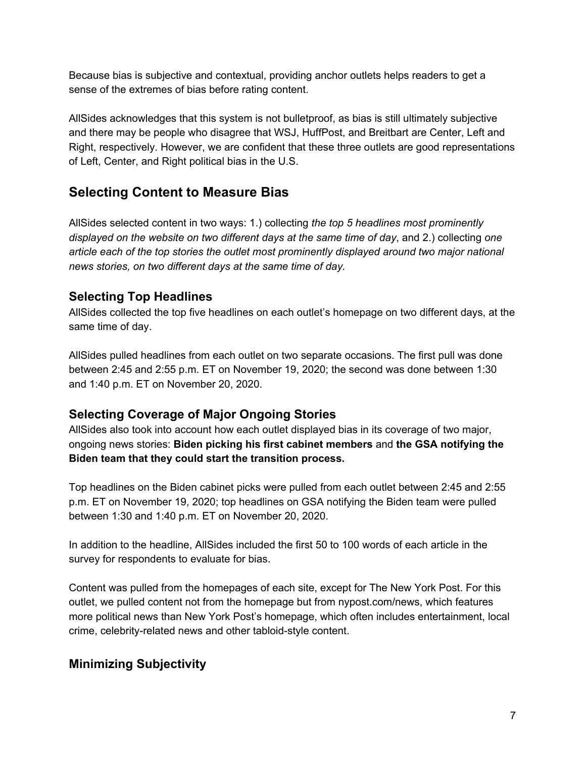Because bias is subjective and contextual, providing anchor outlets helps readers to get a sense of the extremes of bias before rating content.

AllSides acknowledges that this system is not bulletproof, as bias is still ultimately subjective and there may be people who disagree that WSJ, HuffPost, and Breitbart are Center, Left and Right, respectively. However, we are confident that these three outlets are good representations of Left, Center, and Right political bias in the U.S.

### **Selecting Content to Measure Bias**

AllSides selected content in two ways: 1.) collecting *the top 5 headlines most prominently displayed on the website on two different days at the same time of day*, and 2.) collecting *one article each of the top stories the outlet most prominently displayed around two major national news stories, on two different days at the same time of day.*

### **Selecting Top Headlines**

AllSides collected the top five headlines on each outlet's homepage on two different days, at the same time of day.

AllSides pulled headlines from each outlet on two separate occasions. The first pull was done between 2:45 and 2:55 p.m. ET on November 19, 2020; the second was done between 1:30 and 1:40 p.m. ET on November 20, 2020.

### **Selecting Coverage of Major Ongoing Stories**

AllSides also took into account how each outlet displayed bias in its coverage of two major, ongoing news stories: **Biden picking his first cabinet members** and **the GSA notifying the Biden team that they could start the transition process.**

Top headlines on the Biden cabinet picks were pulled from each outlet between 2:45 and 2:55 p.m. ET on November 19, 2020; top headlines on GSA notifying the Biden team were pulled between 1:30 and 1:40 p.m. ET on November 20, 2020.

In addition to the headline, AllSides included the first 50 to 100 words of each article in the survey for respondents to evaluate for bias.

Content was pulled from the homepages of each site, except for The New York Post. For this outlet, we pulled content not from the homepage but from nypost.com/news, which features more political news than New York Post's homepage, which often includes entertainment, local crime, celebrity-related news and other tabloid-style content.

### **Minimizing Subjectivity**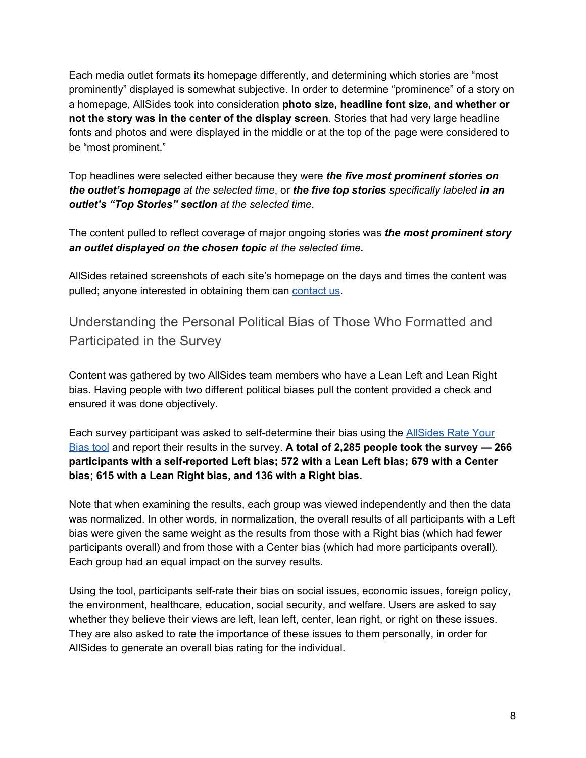Each media outlet formats its homepage differently, and determining which stories are "most prominently" displayed is somewhat subjective. In order to determine "prominence" of a story on a homepage, AllSides took into consideration **photo size, headline font size, and whether or not the story was in the center of the display screen**. Stories that had very large headline fonts and photos and were displayed in the middle or at the top of the page were considered to be "most prominent."

Top headlines were selected either because they were *the five most prominent stories on the outlet's homepage at the selected time*, or *the five top stories specifically labeled in an outlet's "Top Stories" section at the selected time*.

The content pulled to reflect coverage of major ongoing stories was *the most prominent story an outlet displayed on the chosen topic at the selected time.*

AllSides retained screenshots of each site's homepage on the days and times the content was pulled; anyone interested in obtaining them can [contact](mailto:admin@allsides.com) us.

<span id="page-7-0"></span>Understanding the Personal Political Bias of Those Who Formatted and Participated in the Survey

Content was gathered by two AllSides team members who have a Lean Left and Lean Right bias. Having people with two different political biases pull the content provided a check and ensured it was done objectively.

Each survey participant was asked to self-determine their bias using the [AllSides](https://www.allsides.com/rate-own-bias) Rate Your [Bias](https://www.allsides.com/rate-own-bias) tool and report their results in the survey. **A total of 2,285 people took the survey — 266 participants with a self-reported Left bias; 572 with a Lean Left bias; 679 with a Center bias; 615 with a Lean Right bias, and 136 with a Right bias.**

Note that when examining the results, each group was viewed independently and then the data was normalized. In other words, in normalization, the overall results of all participants with a Left bias were given the same weight as the results from those with a Right bias (which had fewer participants overall) and from those with a Center bias (which had more participants overall). Each group had an equal impact on the survey results.

Using the tool, participants self-rate their bias on social issues, economic issues, foreign policy, the environment, healthcare, education, social security, and welfare. Users are asked to say whether they believe their views are left, lean left, center, lean right, or right on these issues. They are also asked to rate the importance of these issues to them personally, in order for AllSides to generate an overall bias rating for the individual.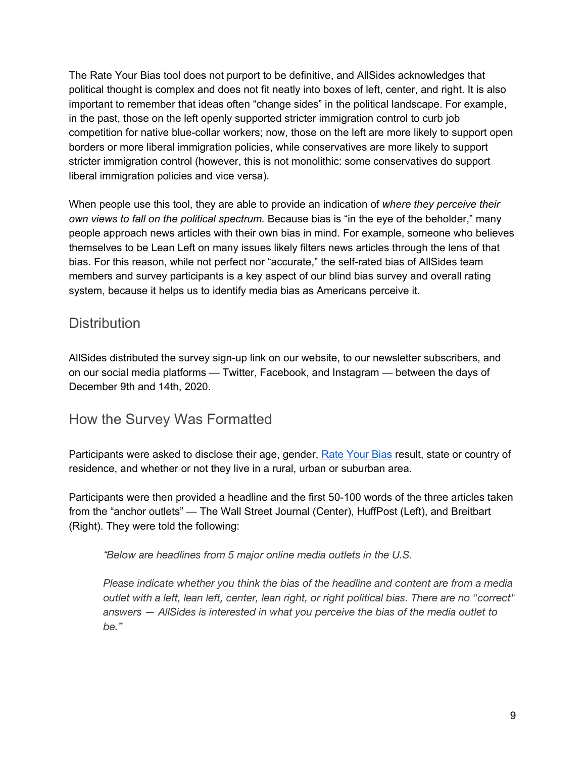The Rate Your Bias tool does not purport to be definitive, and AllSides acknowledges that political thought is complex and does not fit neatly into boxes of left, center, and right. It is also important to remember that ideas often "change sides" in the political landscape. For example, in the past, those on the left openly supported stricter immigration control to curb job competition for native blue-collar workers; now, those on the left are more likely to support open borders or more liberal immigration policies, while conservatives are more likely to support stricter immigration control (however, this is not monolithic: some conservatives do support liberal immigration policies and vice versa).

When people use this tool, they are able to provide an indication of *where they perceive their own views to fall on the political spectrum.* Because bias is "in the eye of the beholder," many people approach news articles with their own bias in mind. For example, someone who believes themselves to be Lean Left on many issues likely filters news articles through the lens of that bias. For this reason, while not perfect nor "accurate," the self-rated bias of AllSides team members and survey participants is a key aspect of our blind bias survey and overall rating system, because it helps us to identify media bias as Americans perceive it.

### <span id="page-8-0"></span>**Distribution**

AllSides distributed the survey sign-up link on our website, to our newsletter subscribers, and on our social media platforms — Twitter, Facebook, and Instagram — between the days of December 9th and 14th, 2020.

### How the Survey Was Formatted

Participants were asked to disclose their age, gender, Rate [Your](https://www.allsides.com/rate-own-bias) Bias result, state or country of residence, and whether or not they live in a rural, urban or suburban area.

Participants were then provided a headline and the first 50-100 words of the three articles taken from the "anchor outlets" — The Wall Street Journal (Center), HuffPost (Left), and Breitbart (Right). They were told the following:

#### *"Below are headlines from 5 major online media outlets in the U.S.*

*Please indicate whether you think the bias of the headline and content are from a media outlet with a left, lean left, center, lean right, or right political bias. There are no "correct" answers — AllSides is interested in what you perceive the bias of the media outlet to be."*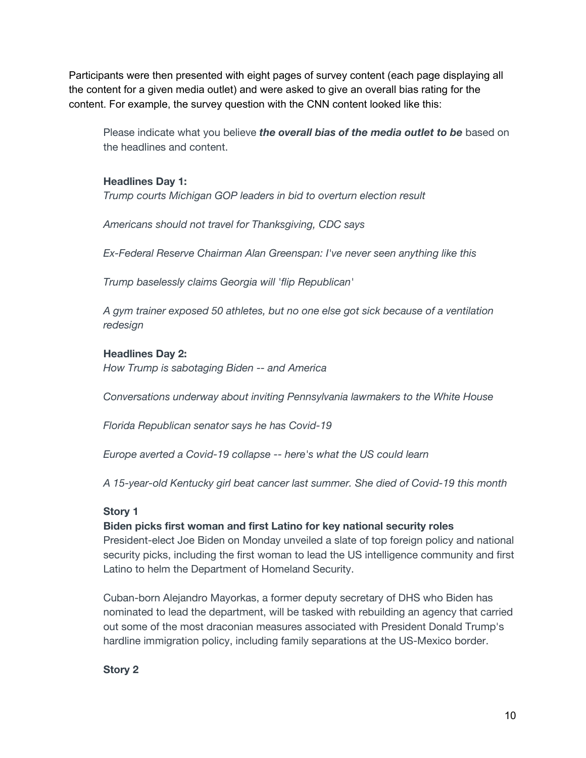Participants were then presented with eight pages of survey content (each page displaying all the content for a given media outlet) and were asked to give an overall bias rating for the content. For example, the survey question with the CNN content looked like this:

Please indicate what you believe *the overall bias of the media outlet to be* based on the headlines and content.

#### **Headlines Day 1:**

*Trump courts Michigan GOP leaders in bid to overturn election result*

*Americans should not travel for Thanksgiving, CDC says*

*Ex-Federal Reserve Chairman Alan Greenspan: I've never seen anything like this*

*Trump baselessly claims Georgia will 'flip Republican'*

*A gym trainer exposed 50 athletes, but no one else got sick because of a ventilation redesign*

#### **Headlines Day 2:**

*How Trump is sabotaging Biden -- and America*

*Conversations underway about inviting Pennsylvania lawmakers to the White House*

*Florida Republican senator says he has Covid-19*

*Europe averted a Covid-19 collapse -- here's what the US could learn*

*A 15-year-old Kentucky girl beat cancer last summer. She died of Covid-19 this month*

#### **Story 1**

#### **Biden picks first woman and first Latino for key national security roles**

President-elect Joe Biden on Monday unveiled a slate of top foreign policy and national security picks, including the first woman to lead the US intelligence community and first Latino to helm the Department of Homeland Security.

Cuban-born Alejandro Mayorkas, a former deputy secretary of DHS who Biden has nominated to lead the department, will be tasked with rebuilding an agency that carried out some of the most draconian measures associated with President Donald Trump's hardline immigration policy, including family separations at the US-Mexico border.

**Story 2**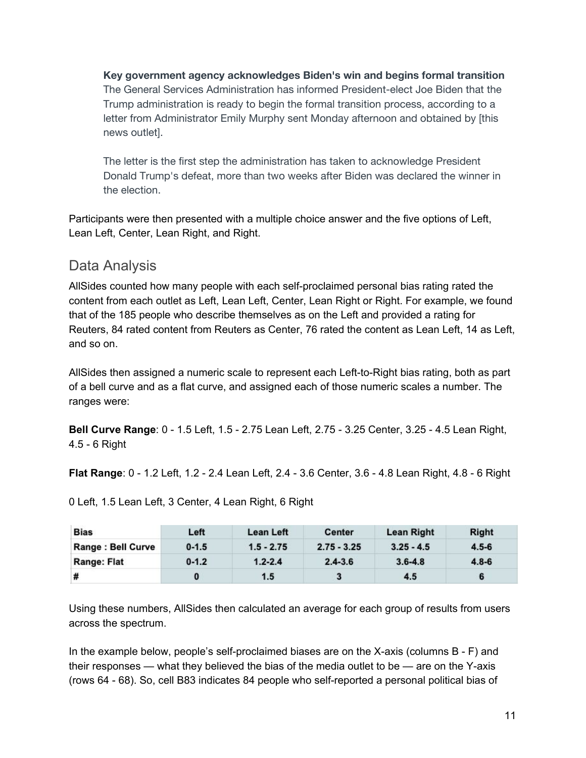**Key government agency acknowledges Biden's win and begins formal transition** The General Services Administration has informed President-elect Joe Biden that the Trump administration is ready to begin the formal transition process, according to a letter from Administrator Emily Murphy sent Monday afternoon and obtained by [this news outlet].

The letter is the first step the administration has taken to acknowledge President Donald Trump's defeat, more than two weeks after Biden was declared the winner in the election.

Participants were then presented with a multiple choice answer and the five options of Left, Lean Left, Center, Lean Right, and Right.

## <span id="page-10-0"></span>Data Analysis

AllSides counted how many people with each self-proclaimed personal bias rating rated the content from each outlet as Left, Lean Left, Center, Lean Right or Right. For example, we found that of the 185 people who describe themselves as on the Left and provided a rating for Reuters, 84 rated content from Reuters as Center, 76 rated the content as Lean Left, 14 as Left, and so on.

AllSides then assigned a numeric scale to represent each Left-to-Right bias rating, both as part of a bell curve and as a flat curve, and assigned each of those numeric scales a number. The ranges were:

**Bell Curve Range**: 0 - 1.5 Left, 1.5 - 2.75 Lean Left, 2.75 - 3.25 Center, 3.25 - 4.5 Lean Right, 4.5 - 6 Right

**Flat Range**: 0 - 1.2 Left, 1.2 - 2.4 Lean Left, 2.4 - 3.6 Center, 3.6 - 4.8 Lean Right, 4.8 - 6 Right

| <b>Bias</b>        | Left      | Lean Left    | <b>Center</b> | <b>Lean Right</b> | <b>Right</b> |
|--------------------|-----------|--------------|---------------|-------------------|--------------|
| Range : Bell Curve | $0 - 1.5$ | $1.5 - 2.75$ | $2.75 - 3.25$ | $3.25 - 4.5$      | $4.5 - 6$    |
| <b>Range: Flat</b> | $0 - 1.2$ | $1.2 - 2.4$  | $2.4 - 3.6$   | $3.6 - 4.8$       | $4.8 - 6$    |
| #                  |           | 1.5          |               | 4.5               |              |

0 Left, 1.5 Lean Left, 3 Center, 4 Lean Right, 6 Right

Using these numbers, AllSides then calculated an average for each group of results from users across the spectrum.

In the example below, people's self-proclaimed biases are on the X-axis (columns B - F) and their responses — what they believed the bias of the media outlet to be — are on the Y-axis (rows 64 - 68). So, cell B83 indicates 84 people who self-reported a personal political bias of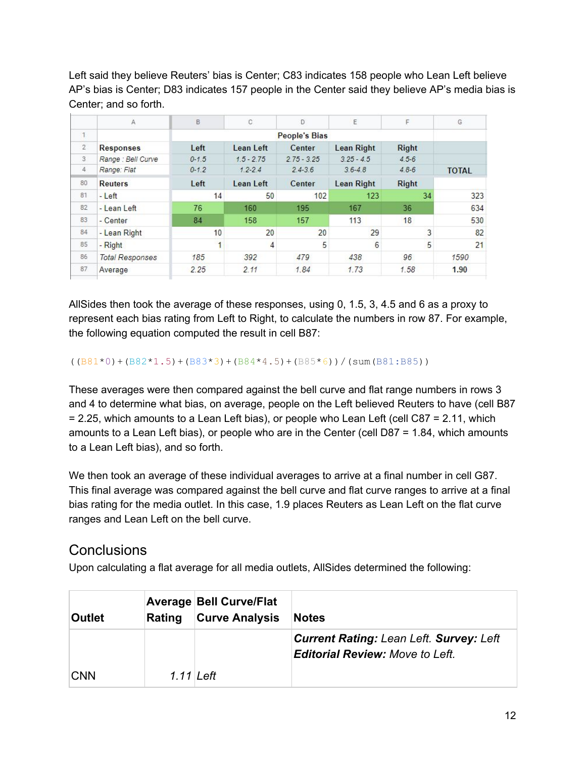Left said they believe Reuters' bias is Center; C83 indicates 158 people who Lean Left believe AP's bias is Center; D83 indicates 157 people in the Center said they believe AP's media bias is Center; and so forth.

|                | A                      | B                    | C            | D.            | E                 | F            | G            |
|----------------|------------------------|----------------------|--------------|---------------|-------------------|--------------|--------------|
| $\mathbf{1}$   |                        | <b>People's Bias</b> |              |               |                   |              |              |
| $\overline{2}$ | <b>Responses</b>       | Left                 | Lean Left    | Center        | <b>Lean Right</b> | <b>Right</b> |              |
| 3              | Range : Bell Curve     | $0 - 1.5$            | $1.5 - 2.75$ | $2.75 - 3.25$ | $3.25 - 4.5$      | $4.5 - 6$    |              |
| $\overline{4}$ | Range: Flat            | $0 - 1.2$            | $1.2 - 2.4$  | $2.4 - 3.6$   | $3.6 - 4.8$       | $4.8 - 6$    | <b>TOTAL</b> |
| 80             | <b>Reuters</b>         | Left                 | Lean Left    | Center        | <b>Lean Right</b> | <b>Right</b> |              |
| 81             | - Left                 | 14                   | 50           | 102           | 123               | 34           | 323          |
| 82             | - Lean Left            | 76                   | 160          | 195           | 167               | 36           | 634          |
| 83             | - Center               | 84                   | 158          | 157           | 113               | 18           | 530          |
| 84             | - Lean Right           | 10                   | 20           | 20            | 29                | 3            | 82           |
| 85             | - Right                |                      | 4            | 5             | 6                 | 5            | 21           |
| 86             | <b>Total Responses</b> | 185                  | 392          | 479           | 438               | 96           | 1590         |
| 87             | Average                | 2.25                 | 2.11         | 1.84          | 1.73              | 1.58         | 1.90         |
|                |                        |                      |              |               |                   |              |              |

AllSides then took the average of these responses, using 0, 1.5, 3, 4.5 and 6 as a proxy to represent each bias rating from Left to Right, to calculate the numbers in row 87. For example, the following equation computed the result in cell B87:

 $((B81*0)+(B82*1.5)+(B83*3)+(B84*4.5)+(B85*6))/(\text{sum}(B81:B85))$ 

These averages were then compared against the bell curve and flat range numbers in rows 3 and 4 to determine what bias, on average, people on the Left believed Reuters to have (cell B87 = 2.25, which amounts to a Lean Left bias), or people who Lean Left (cell C87 = 2.11, which amounts to a Lean Left bias), or people who are in the Center (cell D87 = 1.84, which amounts to a Lean Left bias), and so forth.

We then took an average of these individual averages to arrive at a final number in cell G87. This final average was compared against the bell curve and flat curve ranges to arrive at a final bias rating for the media outlet. In this case, 1.9 places Reuters as Lean Left on the flat curve ranges and Lean Left on the bell curve.

### **Conclusions**

Upon calculating a flat average for all media outlets, AllSides determined the following:

| <b>Outlet</b> | Rating      | <b>Average Bell Curve/Flat</b><br><b>Curve Analysis</b> | <b>Notes</b>                                                                             |
|---------------|-------------|---------------------------------------------------------|------------------------------------------------------------------------------------------|
|               |             |                                                         | <b>Current Rating: Lean Left. Survey: Left</b><br><b>Editorial Review: Move to Left.</b> |
| <b>CNN</b>    | $1.11$ Left |                                                         |                                                                                          |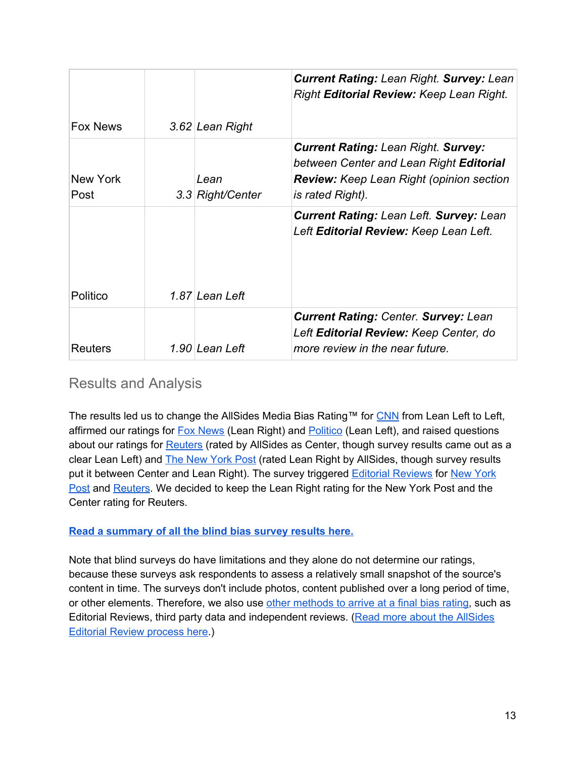|                  |                          | <b>Current Rating: Lean Right. Survey: Lean</b><br>Right Editorial Review: Keep Lean Right.                                                                  |
|------------------|--------------------------|--------------------------------------------------------------------------------------------------------------------------------------------------------------|
| <b>Fox News</b>  | 3.62 Lean Right          |                                                                                                                                                              |
| New York<br>Post | Lean<br>3.3 Right/Center | <b>Current Rating: Lean Right. Survey:</b><br>between Center and Lean Right Editorial<br><b>Review:</b> Keep Lean Right (opinion section<br>is rated Right). |
| Politico         | 1.87 Lean Left           | <b>Current Rating: Lean Left. Survey: Lean</b><br>Left <b>Editorial Review:</b> Keep Lean Left.                                                              |
| <b>Reuters</b>   | 1.90 Lean Left           | <b>Current Rating: Center. Survey: Lean</b><br>Left Editorial Review: Keep Center, do<br>more review in the near future.                                     |

### Results and Analysis

The results led us to change the AllSides Media Bias Rating™ for [CNN](https://www.allsides.com/news-source/cnn-media-bias) from Lean Left to Left, affirmed our ratings for **Fox [News](https://www.allsides.com/news-source/fox-news-media-bias)** (Lean Right) and **[Politico](https://www.allsides.com/news-source/politico-media-bias)** (Lean Left), and raised questions about our ratings for [Reuters](https://www.allsides.com/news-source/reuters) (rated by AllSides as Center, though survey results came out as a clear Lean Left) and The New [York](https://www.allsides.com/news-source/new-york-post) Post (rated Lean Right by AllSides, though survey results put it between Center and Lean Right). The survey triggered **Editorial [Reviews](https://www.allsides.com/media-bias/media-bias-rating-methods/editorial-reviews)** for New [York](https://www.allsides.com/news-source/new-york-post#Jan2021) [Post](https://www.allsides.com/news-source/new-york-post#Jan2021) and [Reuters.](https://www.allsides.com/news-source/reuters#Jan2021) We decided to keep the Lean Right rating for the New York Post and the Center rating for Reuters.

#### **Read a [summary](https://www.allsides.com/blog/updated-media-bias-ratings-cnn-fox-news-new-york-post-politico-reuters) of all the blind bias survey results here.**

Note that blind surveys do have limitations and they alone do not determine our ratings, because these surveys ask respondents to assess a relatively small snapshot of the source's content in time. The surveys don't include photos, content published over a long period of time, or other elements. Therefore, we also use other [methods](https://www.allsides.com/media-bias/media-bias-rating-methods) to arrive at a final bias rating, such as Editorial Reviews, third party data and independent reviews. (Read more about the [AllSides](https://www.allsides.com/media-bias/media-bias-rating-methods/editorial-reviews) [Editorial](https://www.allsides.com/media-bias/media-bias-rating-methods/editorial-reviews) Review process here.)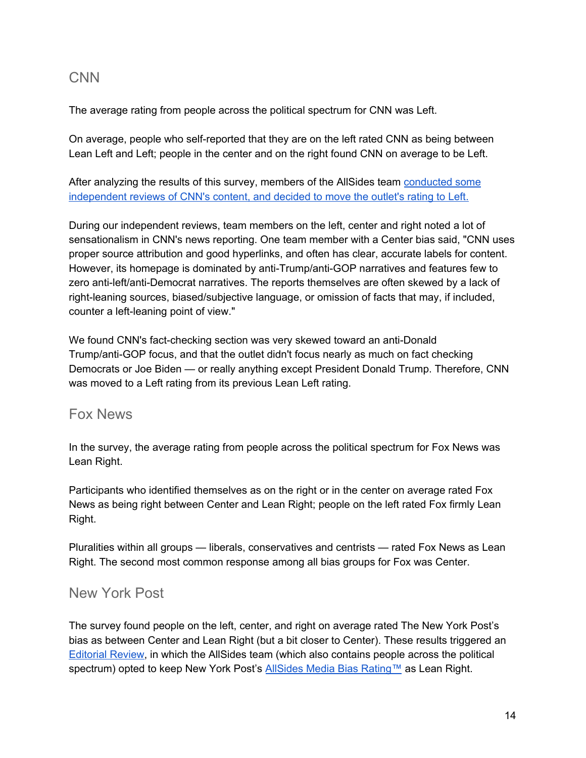### CNN

The average rating from people across the political spectrum for CNN was Left.

On average, people who self-reported that they are on the left rated CNN as being between Lean Left and Left; people in the center and on the right found CNN on average to be Left.

After analyzing the results of this survey, members of the AllSides team [conducted](https://www.allsides.com/news-source/cnn-media-bias#Nov2020) some [independent](https://www.allsides.com/news-source/cnn-media-bias#Nov2020) reviews of CNN's content, and decided to move the outlet's rating to Left.

During our independent reviews, team members on the left, center and right noted a lot of sensationalism in CNN's news reporting. One team member with a Center bias said, "CNN uses proper source attribution and good hyperlinks, and often has clear, accurate labels for content. However, its homepage is dominated by anti-Trump/anti-GOP narratives and features few to zero anti-left/anti-Democrat narratives. The reports themselves are often skewed by a lack of right-leaning sources, biased/subjective language, or omission of facts that may, if included, counter a left-leaning point of view."

We found CNN's fact-checking section was very skewed toward an anti-Donald Trump/anti-GOP focus, and that the outlet didn't focus nearly as much on fact checking Democrats or Joe Biden — or really anything except President Donald Trump. Therefore, CNN was moved to a Left rating from its previous Lean Left rating.

### Fox News

In the survey, the average rating from people across the political spectrum for Fox News was Lean Right.

Participants who identified themselves as on the right or in the center on average rated Fox News as being right between Center and Lean Right; people on the left rated Fox firmly Lean Right.

Pluralities within all groups — liberals, conservatives and centrists — rated Fox News as Lean Right. The second most common response among all bias groups for Fox was Center.

# New York Post

The survey found people on the left, center, and right on average rated The New York Post's bias as between Center and Lean Right (but a bit closer to Center). These results triggered an [Editorial](https://www.allsides.com/news-source/new-york-post#Jan2021) Review, in which the AllSides team (which also contains people across the political spectrum) opted to keep New York Post's AllSides Media Bias [Rating™](https://www.allsides.com/media-bias/media-bias-ratings) as Lean Right.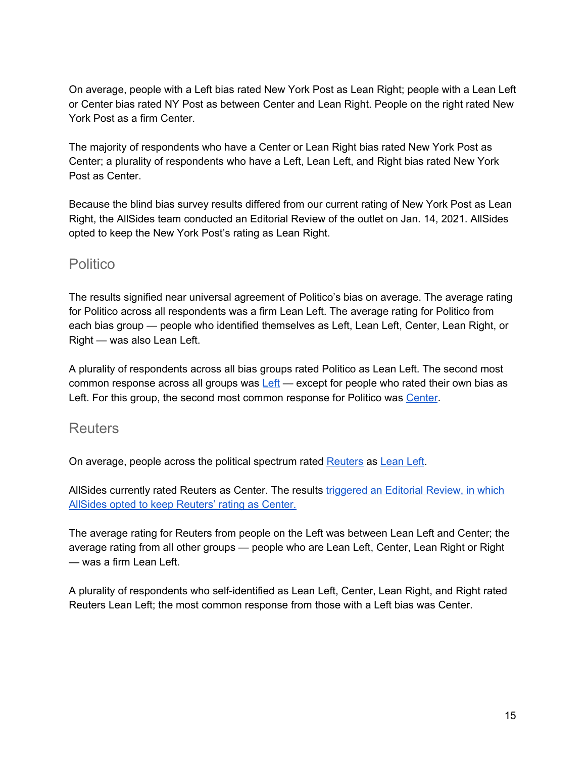On average, people with a Left bias rated New York Post as Lean Right; people with a Lean Left or Center bias rated NY Post as between Center and Lean Right. People on the right rated New York Post as a firm Center.

The majority of respondents who have a Center or Lean Right bias rated New York Post as Center; a plurality of respondents who have a Left, Lean Left, and Right bias rated New York Post as Center.

Because the blind bias survey results differed from our current rating of New York Post as Lean Right, the AllSides team conducted an Editorial Review of the outlet on Jan. 14, 2021. AllSides opted to keep the New York Post's rating as Lean Right.

### **Politico**

The results signified near universal agreement of Politico's bias on average. The average rating for Politico across all respondents was a firm Lean Left. The average rating for Politico from each bias group — people who identified themselves as Left, Lean Left, Center, Lean Right, or Right — was also Lean Left.

A plurality of respondents across all bias groups rated Politico as Lean Left. The second most common response across all groups was  $Left$  – except for people who rated their own bias as Left. For this group, the second most common response for Politico was [Center.](http://www.allsides.com/bias/center)

#### **Reuters**

On average, people across the political spectrum rated [Reuters](https://www.allsides.com/news-source/reuters) as [Lean](https://www.allsides.com/media-bias/left-center) Left.

AllSides currently rated Reuters as Center. The results [triggered](https://www.allsides.com/news-source/reuters#Jan2020) an Editorial Review, in which AllSides opted to keep [Reuters'](https://www.allsides.com/news-source/reuters#Jan2020) rating as Center.

The average rating for Reuters from people on the Left was between Lean Left and Center; the average rating from all other groups — people who are Lean Left, Center, Lean Right or Right — was a firm Lean Left.

A plurality of respondents who self-identified as Lean Left, Center, Lean Right, and Right rated Reuters Lean Left; the most common response from those with a Left bias was Center.